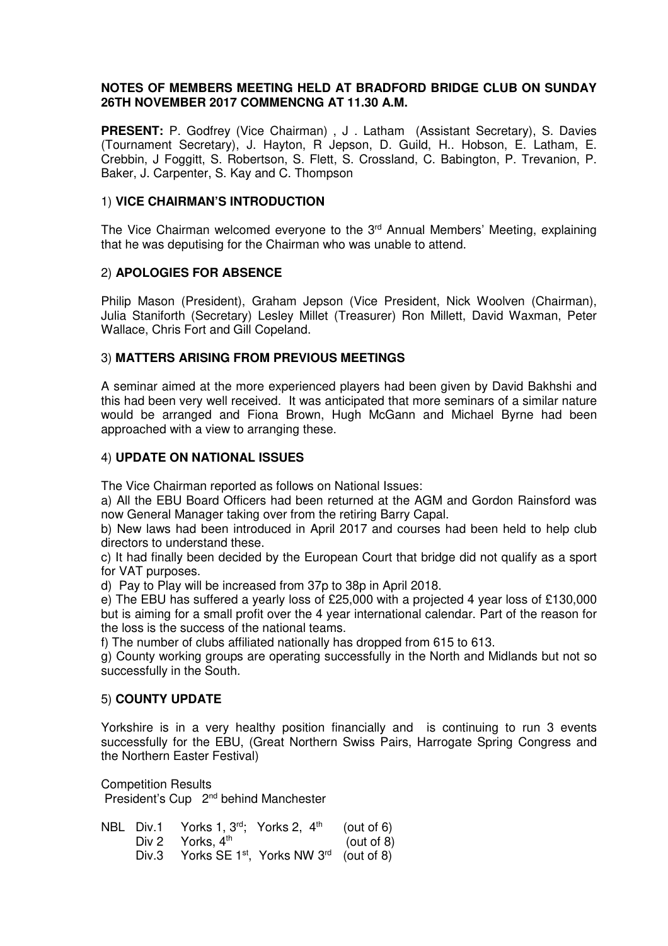# **NOTES OF MEMBERS MEETING HELD AT BRADFORD BRIDGE CLUB ON SUNDAY 26TH NOVEMBER 2017 COMMENCNG AT 11.30 A.M.**

**PRESENT:** P. Godfrey (Vice Chairman), J. Latham (Assistant Secretary), S. Davies (Tournament Secretary), J. Hayton, R Jepson, D. Guild, H.. Hobson, E. Latham, E. Crebbin, J Foggitt, S. Robertson, S. Flett, S. Crossland, C. Babington, P. Trevanion, P. Baker, J. Carpenter, S. Kay and C. Thompson

## 1) **VICE CHAIRMAN'S INTRODUCTION**

The Vice Chairman welcomed everyone to the  $3<sup>rd</sup>$  Annual Members' Meeting, explaining that he was deputising for the Chairman who was unable to attend.

### 2) **APOLOGIES FOR ABSENCE**

Philip Mason (President), Graham Jepson (Vice President, Nick Woolven (Chairman), Julia Staniforth (Secretary) Lesley Millet (Treasurer) Ron Millett, David Waxman, Peter Wallace, Chris Fort and Gill Copeland.

### 3) **MATTERS ARISING FROM PREVIOUS MEETINGS**

A seminar aimed at the more experienced players had been given by David Bakhshi and this had been very well received. It was anticipated that more seminars of a similar nature would be arranged and Fiona Brown, Hugh McGann and Michael Byrne had been approached with a view to arranging these.

### 4) **UPDATE ON NATIONAL ISSUES**

The Vice Chairman reported as follows on National Issues:

a) All the EBU Board Officers had been returned at the AGM and Gordon Rainsford was now General Manager taking over from the retiring Barry Capal.

b) New laws had been introduced in April 2017 and courses had been held to help club directors to understand these.

c) It had finally been decided by the European Court that bridge did not qualify as a sport for VAT purposes.

d) Pay to Play will be increased from 37p to 38p in April 2018.

e) The EBU has suffered a yearly loss of £25,000 with a projected 4 year loss of £130,000 but is aiming for a small profit over the 4 year international calendar. Part of the reason for the loss is the success of the national teams.

f) The number of clubs affiliated nationally has dropped from 615 to 613.

g) County working groups are operating successfully in the North and Midlands but not so successfully in the South.

# 5) **COUNTY UPDATE**

Yorkshire is in a very healthy position financially and is continuing to run 3 events successfully for the EBU, (Great Northern Swiss Pairs, Harrogate Spring Congress and the Northern Easter Festival)

Competition Results President's Cup 2nd behind Manchester

|       | NBL Div.1 Yorks 1, 3rd; Yorks 2, 4th |                                                                | (out of $6$ ) |
|-------|--------------------------------------|----------------------------------------------------------------|---------------|
|       | Div 2 Yorks, $4th$                   |                                                                | (out of 8)    |
| Div.3 |                                      | Yorks SE 1 <sup>st</sup> , Yorks NW 3 <sup>rd</sup> (out of 8) |               |